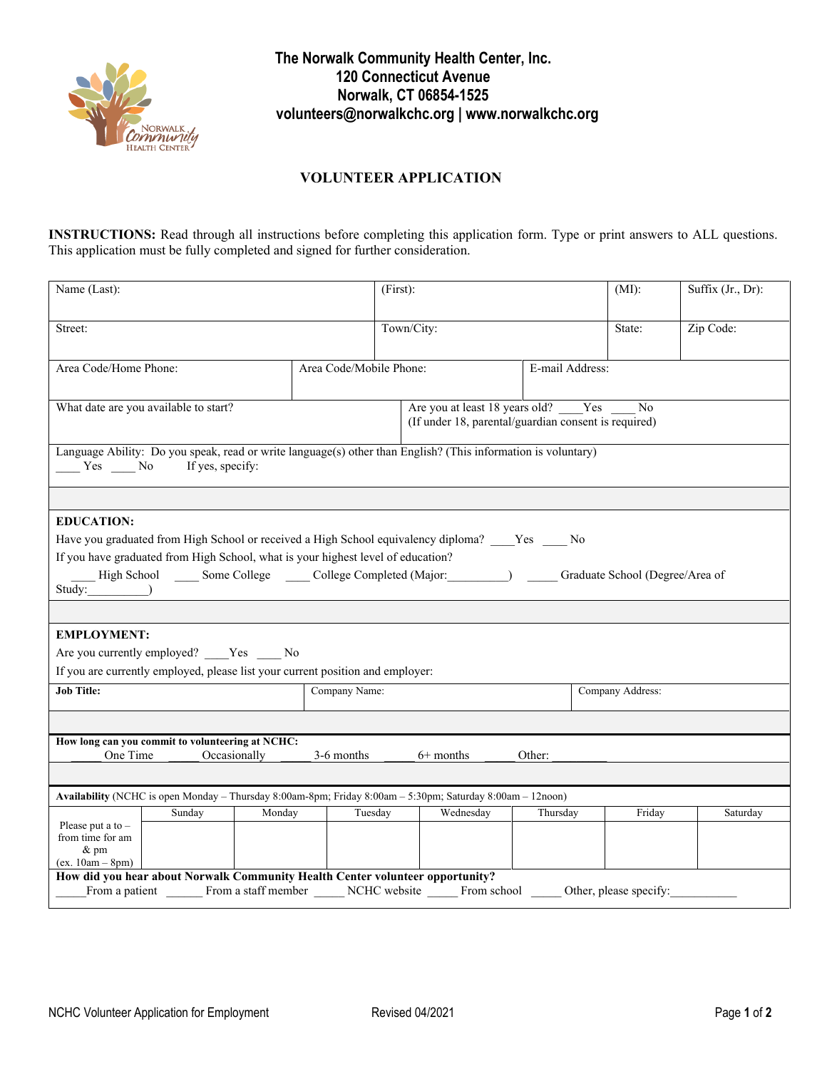

**The Norwalk Community Health Center, Inc. 120 Connecticut Avenue Norwalk, CT 06854-1525 volunteers@norwalkchc.org | www.norwalkchc.org**

## **VOLUNTEER APPLICATION**

**INSTRUCTIONS:** Read through all instructions before completing this application form. Type or print answers to ALL questions. This application must be fully completed and signed for further consideration.

| Name (Last):                                                                                                                                                                                           |                         | $(First)$ :                                                                                      |          | (MI):     | Suffix (Jr., Dr): |  |  |  |  |
|--------------------------------------------------------------------------------------------------------------------------------------------------------------------------------------------------------|-------------------------|--------------------------------------------------------------------------------------------------|----------|-----------|-------------------|--|--|--|--|
| Street:                                                                                                                                                                                                |                         | Town/City:                                                                                       | State:   | Zip Code: |                   |  |  |  |  |
| Area Code/Home Phone:                                                                                                                                                                                  | Area Code/Mobile Phone: | E-mail Address:                                                                                  |          |           |                   |  |  |  |  |
| What date are you available to start?                                                                                                                                                                  |                         | Are you at least 18 years old? Yes<br>No<br>(If under 18, parental/guardian consent is required) |          |           |                   |  |  |  |  |
| Language Ability: Do you speak, read or write language(s) other than English? (This information is voluntary)<br>If yes, specify:<br>$Yes$ No                                                          |                         |                                                                                                  |          |           |                   |  |  |  |  |
|                                                                                                                                                                                                        |                         |                                                                                                  |          |           |                   |  |  |  |  |
| <b>EDUCATION:</b>                                                                                                                                                                                      |                         |                                                                                                  |          |           |                   |  |  |  |  |
| Have you graduated from High School or received a High School equivalency diploma? ____Yes ____No                                                                                                      |                         |                                                                                                  |          |           |                   |  |  |  |  |
| If you have graduated from High School, what is your highest level of education?                                                                                                                       |                         |                                                                                                  |          |           |                   |  |  |  |  |
| High School _______ Some College ________ College Completed (Major: ___________) ______<br>Graduate School (Degree/Area of<br>Study: (a)<br><u> 1989 - Johann Stein, mars and de Britain (b. 1989)</u> |                         |                                                                                                  |          |           |                   |  |  |  |  |
|                                                                                                                                                                                                        |                         |                                                                                                  |          |           |                   |  |  |  |  |
| <b>EMPLOYMENT:</b>                                                                                                                                                                                     |                         |                                                                                                  |          |           |                   |  |  |  |  |
| Are you currently employed? Yes No                                                                                                                                                                     |                         |                                                                                                  |          |           |                   |  |  |  |  |
| If you are currently employed, please list your current position and employer:                                                                                                                         |                         |                                                                                                  |          |           |                   |  |  |  |  |
| <b>Job Title:</b>                                                                                                                                                                                      | Company Name:           |                                                                                                  |          |           | Company Address:  |  |  |  |  |
|                                                                                                                                                                                                        |                         |                                                                                                  |          |           |                   |  |  |  |  |
| How long can you commit to volunteering at NCHC:                                                                                                                                                       |                         |                                                                                                  |          |           |                   |  |  |  |  |
| One Time<br>Occasionally<br>3-6 months<br>$6+$ months<br>Other:                                                                                                                                        |                         |                                                                                                  |          |           |                   |  |  |  |  |
|                                                                                                                                                                                                        |                         |                                                                                                  |          |           |                   |  |  |  |  |
| Availability (NCHC is open Monday - Thursday 8:00am-8pm; Friday 8:00am - 5:30pm; Saturday 8:00am - 12noon)                                                                                             |                         |                                                                                                  |          |           |                   |  |  |  |  |
| Monday<br>Sunday                                                                                                                                                                                       | Tuesday                 | Wednesday                                                                                        | Thursday | Friday    | Saturday          |  |  |  |  |
| Please put a to $-$<br>from time for am                                                                                                                                                                |                         |                                                                                                  |          |           |                   |  |  |  |  |
| $&\text{pm}$                                                                                                                                                                                           |                         |                                                                                                  |          |           |                   |  |  |  |  |
| $(ex. 10am - 8pm)$<br>How did you hear about Norwalk Community Health Center volunteer opportunity?                                                                                                    |                         |                                                                                                  |          |           |                   |  |  |  |  |
| From a patient From a staff member NCHC website From school Other, please specify:                                                                                                                     |                         |                                                                                                  |          |           |                   |  |  |  |  |